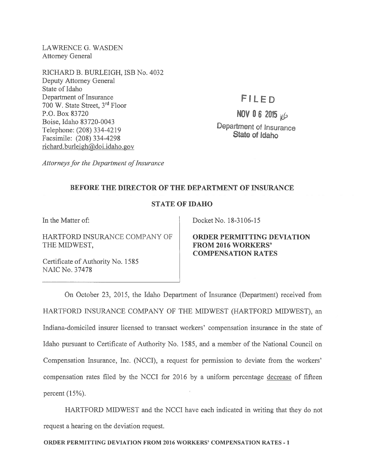LAWRENCE G. WASDEN Attorney General

RICHARD B. BURLEIGH, ISB No. 4032 Deputy Attorney General State of Idaho Department of Insurance 700 W. State Street, 3rd Floor P.O. Box 83720 Boise, Idaho 83720-0043 Telephone: (208) 334-4219 Facsimile: (208) 334-4298 richard.burleigh@doi.idaho.gov

FILED

NOV 0 6 2015  $\mu$ 6 Department of insurance State of Idaho

Attorneys for the Department of Insurance

## BEFORE THE DIRECTOR OF THE DEPARTMENT OF INSURANCE

## STATE OF IDAHO

In the Matter of:

HARTFORD INSURANCE COMPANY OF THE MIDWEST,

Certificate of Authority No. 1585 NAIC No. 37478

Docket No. 18-3106-15

ORDER PERMITTING DEVIATION FROM 2016 WORKERS' COMPENSATION RATES

On October 23, 2015, the Idaho Department of Insurance (Department) received from HARTFORD INSURANCE COMPANY OF THE MIDWEST (HARTFORD MIDWEST), an Indiana-domiciled insurer licensed to transact workers' compensation insurance in the state of Idaho pursuan<sup>t</sup> to Certificate of Authority No. 1585, and <sup>a</sup> member of the National Council on Compensation Insurance, Inc. (NCCI), <sup>a</sup> reques<sup>t</sup> for permission to deviate from the workers' compensation rates filed by the NCCI for 2016 by <sup>a</sup> uniform percentage decrease of fifteen percen<sup>t</sup> (15%).

HARTFORD MIDWEST and the NCCI have each indicated in writing that they do not reques<sup>t</sup> <sup>a</sup> hearing on the deviation request.

ORDER PERMITTING DEVIATION FROM 2016 WORKERS' COMPENSATION RATES -1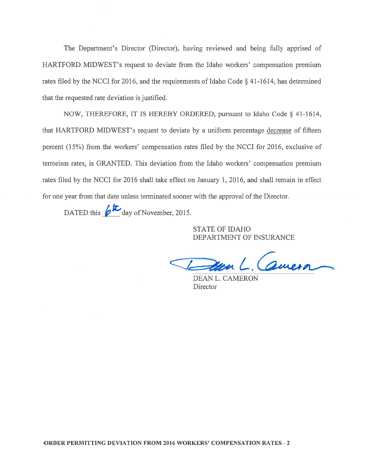The Department's Director (Director), having reviewed and being fully apprised of HARTFORD MIDWEST's reques<sup>t</sup> to deviate from the Idaho workers' compensation premium rates filed by the NCCI for 2016, and the requirements of Idaho Code § 41-1614, has determined that the requested rate deviation is justified.

NOW, THEREFORE, IT IS HEREBY ORDERED, pursuan<sup>t</sup> to Idaho Code § 41-1614, that HARTFORD MIDWEST's reques<sup>t</sup> to deviate by <sup>a</sup> uniform percentage decrease of fifteen percen<sup>t</sup> (15%) from the workers' compensation rates filed by the NCCI for 2016, exclusive of terrorism rates, is GRANTED. This deviation from the Idaho workers' compensation premium rates filed by the NCCI for 2016 shall take effect on January 1, 2016, and shall remain in effect for one year from that date unless terminated sooner with the approval of the Director. The Department's Director (Director), hat<br>
CORD MIDWEST's request to deviate from<br>
ed by the NCCI for 2016, and the requireme<br>
requested rate deviation is justified.<br>
NOW, THEREFORE, IT IS HEREBY OR<br>
RTFORD MIDWEST's requ

STATE OF IDAHO DEPARTMENT OF INSURANCE

Valter Genera

DEAN L. CAMERON **Director**